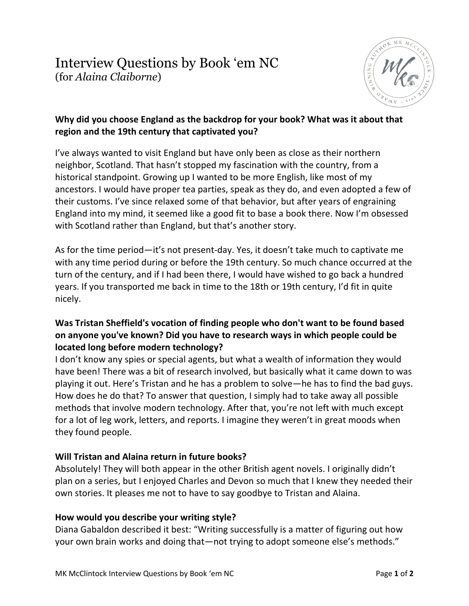

#### **Why did you choose England as the backdrop for your book? What was it about that region and the 19th century that captivated you?**

I've always wanted to visit England but have only been as close as their northern neighbor, Scotland. That hasn't stopped my fascination with the country, from a historical standpoint. Growing up I wanted to be more English, like most of my ancestors. I would have proper tea parties, speak as they do, and even adopted a few of their customs. I've since relaxed some of that behavior, but after years of engraining England into my mind, it seemed like a good fit to base a book there. Now I'm obsessed with Scotland rather than England, but that's another story.

As for the time period—it's not present-day. Yes, it doesn't take much to captivate me with any time period during or before the 19th century. So much chance occurred at the turn of the century, and if I had been there, I would have wished to go back a hundred years. If you transported me back in time to the 18th or 19th century, I'd fit in quite nicely.

## **Was Tristan Sheffield's vocation of finding people who don't want to be found based on anyone you've known? Did you have to research ways in which people could be located long before modern technology?**

I don't know any spies or special agents, but what a wealth of information they would have been! There was a bit of research involved, but basically what it came down to was playing it out. Here's Tristan and he has a problem to solve—he has to find the bad guys. How does he do that? To answer that question, I simply had to take away all possible methods that involve modern technology. After that, you're not left with much except for a lot of leg work, letters, and reports. I imagine they weren't in great moods when they found people.

### **Will Tristan and Alaina return in future books?**

Absolutely! They will both appear in the other British agent novels. I originally didn't plan on a series, but I enjoyed Charles and Devon so much that I knew they needed their own stories. It pleases me not to have to say goodbye to Tristan and Alaina.

### **How would you describe your writing style?**

Diana Gabaldon described it best: "Writing successfully is a matter of figuring out how your own brain works and doing that—not trying to adopt someone else's methods."